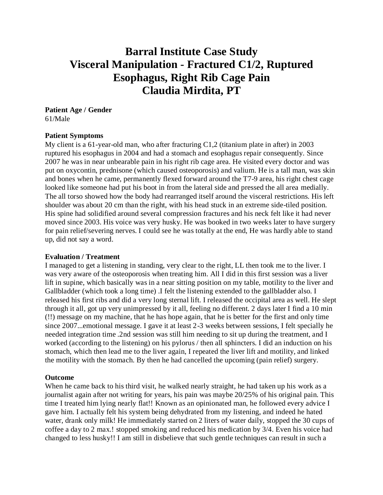# **Barral Institute Case Study Visceral Manipulation - Fractured C1/2, Ruptured Esophagus, Right Rib Cage Pain Claudia Mirdita, PT**

## **Patient Age / Gender**

61/Male

#### **Patient Symptoms**

My client is a 61-year-old man, who after fracturing C1,2 (titanium plate in after) in 2003 ruptured his esophagus in 2004 and had a stomach and esophagus repair consequently. Since 2007 he was in near unbearable pain in his right rib cage area. He visited every doctor and was put on oxycontin, prednisone (which caused osteoporosis) and valium. He is a tall man, was skin and bones when he came, permanently flexed forward around the T7-9 area, his right chest cage looked like someone had put his boot in from the lateral side and pressed the all area medially. The all torso showed how the body had rearranged itself around the visceral restrictions. His left shoulder was about 20 cm than the right, with his head stuck in an extreme side-tiled position. His spine had solidified around several compression fractures and his neck felt like it had never moved since 2003. His voice was very husky. He was booked in two weeks later to have surgery for pain relief/severing nerves. I could see he was totally at the end, He was hardly able to stand up, did not say a word.

#### **Evaluation / Treatment**

I managed to get a listening in standing, very clear to the right, LL then took me to the liver. I was very aware of the osteoporosis when treating him. All I did in this first session was a liver lift in supine, which basically was in a near sitting position on my table, motility to the liver and Gallbladder (which took a long time) .I felt the listening extended to the gallbladder also. I released his first ribs and did a very long sternal lift. I released the occipital area as well. He slept through it all, got up very unimpressed by it all, feeling no different. 2 days later I find a 10 min (!!) message on my machine, that he has hope again, that he is better for the first and only time since 2007...emotional message. I gave it at least 2-3 weeks between sessions, I felt specially he needed integration time .2nd session was still him needing to sit up during the treatment, and I worked (according to the listening) on his pylorus / then all sphincters. I did an induction on his stomach, which then lead me to the liver again, I repeated the liver lift and motility, and linked the motility with the stomach. By then he had cancelled the upcoming (pain relief) surgery.

### **Outcome**

When he came back to his third visit, he walked nearly straight, he had taken up his work as a journalist again after not writing for years, his pain was maybe 20/25% of his original pain. This time I treated him lying nearly flat!! Known as an opinionated man, he followed every advice I gave him. I actually felt his system being dehydrated from my listening, and indeed he hated water, drank only milk! He immediately started on 2 liters of water daily, stopped the 30 cups of coffee a day to 2 max.! stopped smoking and reduced his medication by 3/4. Even his voice had changed to less husky!! I am still in disbelieve that such gentle techniques can result in such a